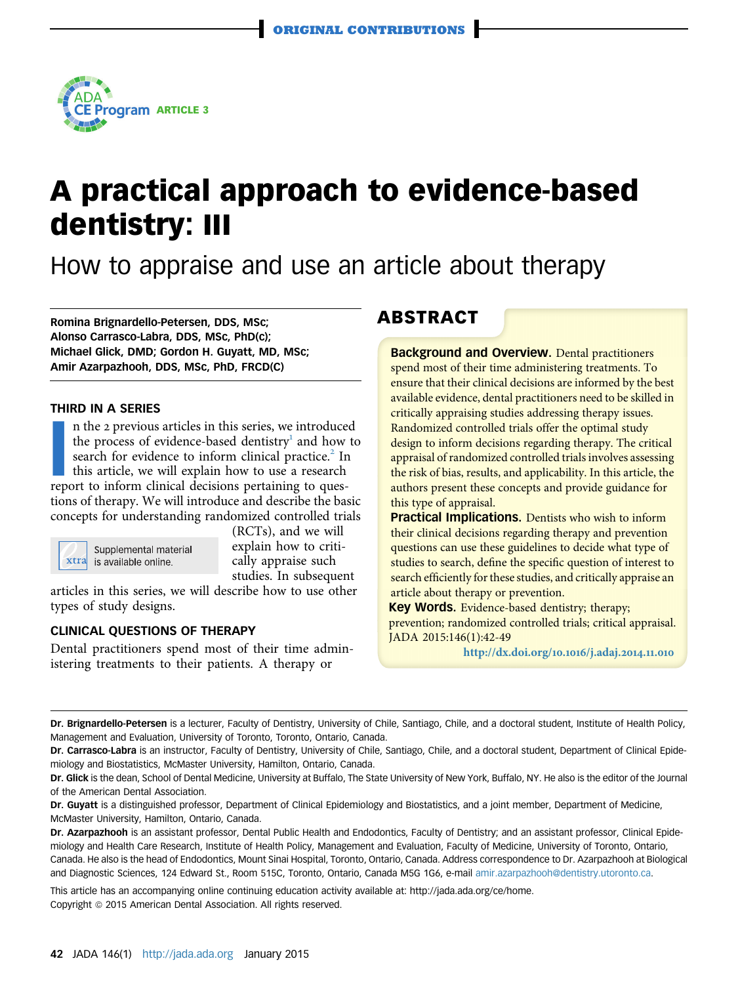

# A practical approach to evidence-based dentistry: III

How to appraise and use an article about therapy

Romina Brignardello-Petersen, DDS, MSc; Alonso Carrasco-Labra, DDS, MSc, PhD(c); Michael Glick, DMD; Gordon H. Guyatt, MD, MSc; Amir Azarpazhooh, DDS, MSc, PhD, FRCD(C)

#### THIRD IN A SERIES

In the 2 previous articles in this series, we introduce the process of evidence-based dentistry<sup>1</sup> and how search for evidence to inform clinical practice.<sup>2</sup> In this article, we will explain how to use a research report t n the 2 previous articles in this series, we introduced the process of evidence-based dentistry<sup>[1](#page-7-0)</sup> and how to search for evidence to inform clinical practice.<sup>[2](#page-7-0)</sup> In this article, we will explain how to use a research tions of therapy. We will introduce and describe the basic concepts for understanding randomized controlled trials



(RCTs), and we will explain how to critically appraise such studies. In subsequent

articles in this series, we will describe how to use other types of study designs.

#### CLINICAL QUESTIONS OF THERAPY

Dental practitioners spend most of their time administering treatments to their patients. A therapy or

## ABSTRACT

**Background and Overview.** Dental practitioners spend most of their time administering treatments. To ensure that their clinical decisions are informed by the best available evidence, dental practitioners need to be skilled in critically appraising studies addressing therapy issues. Randomized controlled trials offer the optimal study design to inform decisions regarding therapy. The critical appraisal of randomized controlled trials involves assessing the risk of bias, results, and applicability. In this article, the authors present these concepts and provide guidance for this type of appraisal.

**Practical Implications.** Dentists who wish to inform their clinical decisions regarding therapy and prevention questions can use these guidelines to decide what type of studies to search, define the specific question of interest to search efficiently for these studies, and critically appraise an article about therapy or prevention.

Key Words. Evidence-based dentistry; therapy; prevention; randomized controlled trials; critical appraisal. JADA 2015:146(1):42-49

[http://dx.doi.org/](http://dx.doi.org/10.1016/j.adaj.2014.11.010)10.1016/j.adaj.2014.11.010

Dr. Brignardello-Petersen is a lecturer, Faculty of Dentistry, University of Chile, Santiago, Chile, and a doctoral student, Institute of Health Policy, Management and Evaluation, University of Toronto, Toronto, Ontario, Canada.

This article has an accompanying online continuing education activity available at: http://jada.ada.org/ce/home. Copyright @ 2015 American Dental Association. All rights reserved.

Dr. Carrasco-Labra is an instructor, Faculty of Dentistry, University of Chile, Santiago, Chile, and a doctoral student, Department of Clinical Epidemiology and Biostatistics, McMaster University, Hamilton, Ontario, Canada.

Dr. Glick is the dean, School of Dental Medicine, University at Buffalo, The State University of New York, Buffalo, NY. He also is the editor of the Journal of the American Dental Association.

Dr. Guyatt is a distinguished professor, Department of Clinical Epidemiology and Biostatistics, and a joint member, Department of Medicine, McMaster University, Hamilton, Ontario, Canada.

Dr. Azarpazhooh is an assistant professor, Dental Public Health and Endodontics, Faculty of Dentistry; and an assistant professor, Clinical Epidemiology and Health Care Research, Institute of Health Policy, Management and Evaluation, Faculty of Medicine, University of Toronto, Ontario, Canada. He also is the head of Endodontics, Mount Sinai Hospital, Toronto, Ontario, Canada. Address correspondence to Dr. Azarpazhooh at Biological and Diagnostic Sciences, 124 Edward St., Room 515C, Toronto, Ontario, Canada M5G 1G6, e-mail [amir.azarpazhooh@dentistry.utoronto.ca](mailto:amir.azarpazhooh@dentistry.utoronto.ca).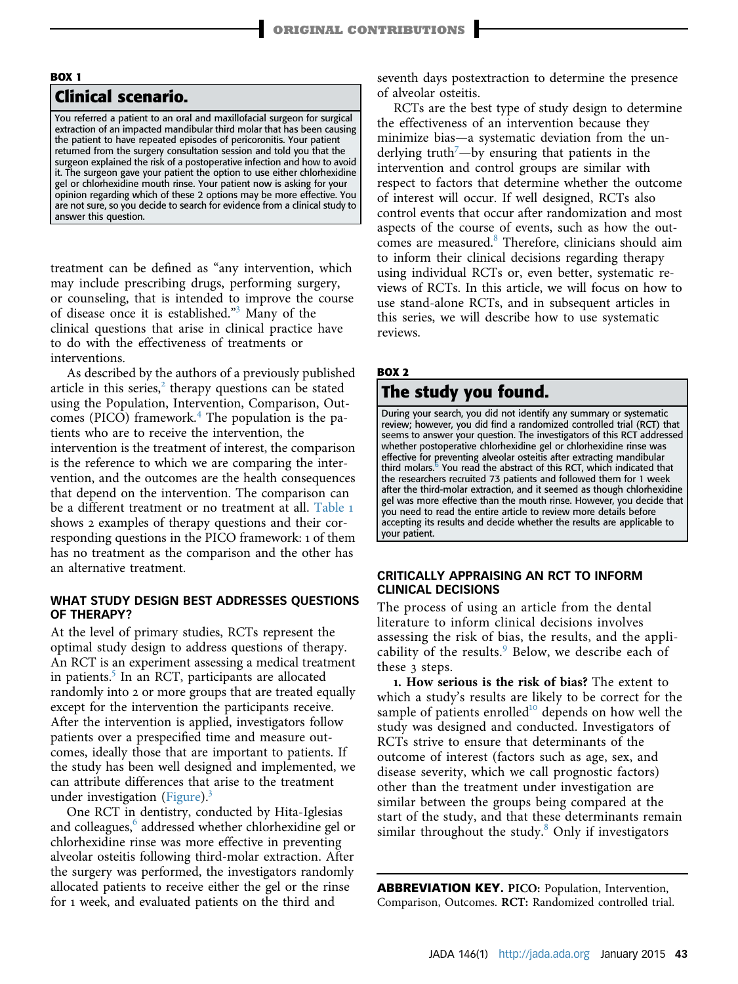## BOX 1 Clinical scenario.

You referred a patient to an oral and maxillofacial surgeon for surgical extraction of an impacted mandibular third molar that has been causing the patient to have repeated episodes of pericoronitis. Your patient returned from the surgery consultation session and told you that the surgeon explained the risk of a postoperative infection and how to avoid it. The surgeon gave your patient the option to use either chlorhexidine gel or chlorhexidine mouth rinse. Your patient now is asking for your opinion regarding which of these 2 options may be more effective. You are not sure, so you decide to search for evidence from a clinical study to answer this question.

treatment can be defined as "any intervention, which may include prescribing drugs, performing surgery, or counseling, that is intended to improve the course of disease once it is established."<sup>[3](#page-7-0)</sup> Many of the clinical questions that arise in clinical practice have to do with the effectiveness of treatments or interventions.

As described by the authors of a previously published article in this series, $2$  therapy questions can be stated using the Population, Intervention, Comparison, Out-comes (PICO) framework.<sup>[4](#page-7-0)</sup> The population is the patients who are to receive the intervention, the intervention is the treatment of interest, the comparison is the reference to which we are comparing the intervention, and the outcomes are the health consequences that depend on the intervention. The comparison can be a different treatment or no treatment at all. [Table](#page-2-0) 1 shows 2 examples of therapy questions and their corresponding questions in the PICO framework: 1 of them has no treatment as the comparison and the other has an alternative treatment.

#### WHAT STUDY DESIGN BEST ADDRESSES QUESTIONS OF THERAPY?

At the level of primary studies, RCTs represent the optimal study design to address questions of therapy. An RCT is an experiment assessing a medical treatment in patients.<sup>[5](#page-7-0)</sup> In an RCT, participants are allocated randomly into 2 or more groups that are treated equally except for the intervention the participants receive. After the intervention is applied, investigators follow patients over a prespecified time and measure outcomes, ideally those that are important to patients. If the study has been well designed and implemented, we can attribute differences that arise to the treatment under investigation [\(Figure\)](#page-2-0). $3$ 

One RCT in dentistry, conducted by Hita-Iglesias and colleagues, addressed whether chlorhexidine gel or chlorhexidine rinse was more effective in preventing alveolar osteitis following third-molar extraction. After the surgery was performed, the investigators randomly allocated patients to receive either the gel or the rinse for 1 week, and evaluated patients on the third and

seventh days postextraction to determine the presence of alveolar osteitis.

RCTs are the best type of study design to determine the effectiveness of an intervention because they minimize bias—a systematic deviation from the un-derlying truth<sup>[7](#page-7-0)</sup> $-$ by ensuring that patients in the intervention and control groups are similar with respect to factors that determine whether the outcome of interest will occur. If well designed, RCTs also control events that occur after randomization and most aspects of the course of events, such as how the outcomes are measured. $8$  Therefore, clinicians should aim to inform their clinical decisions regarding therapy using individual RCTs or, even better, systematic reviews of RCTs. In this article, we will focus on how to use stand-alone RCTs, and in subsequent articles in this series, we will describe how to use systematic reviews.

### BOX 2

## The study you found.

During your search, you did not identify any summary or systematic review; however, you did find a randomized controlled trial (RCT) that seems to answer your question. The investigators of this RCT addressed whether postoperative chlorhexidine gel or chlorhexidine rinse was effective for preventing alveolar osteitis after extracting mandibular third molars.<sup>[6](#page-7-0)</sup> You read the abstract of this RCT, which indicated that the researchers recruited 73 patients and followed them for 1 week after the third-molar extraction, and it seemed as though chlorhexidine gel was more effective than the mouth rinse. However, you decide that you need to read the entire article to review more details before accepting its results and decide whether the results are applicable to your patient.

#### CRITICALLY APPRAISING AN RCT TO INFORM CLINICAL DECISIONS

The process of using an article from the dental literature to inform clinical decisions involves assessing the risk of bias, the results, and the appli-cability of the results.<sup>[9](#page-7-0)</sup> Below, we describe each of these 3 steps.

1. How serious is the risk of bias? The extent to which a study's results are likely to be correct for the sample of patients enrolled<sup>[10](#page-7-0)</sup> depends on how well the study was designed and conducted. Investigators of RCTs strive to ensure that determinants of the outcome of interest (factors such as age, sex, and disease severity, which we call prognostic factors) other than the treatment under investigation are similar between the groups being compared at the start of the study, and that these determinants remain similar throughout the study. $8$  Only if investigators

ABBREVIATION KEY. PICO: Population, Intervention, Comparison, Outcomes. RCT: Randomized controlled trial.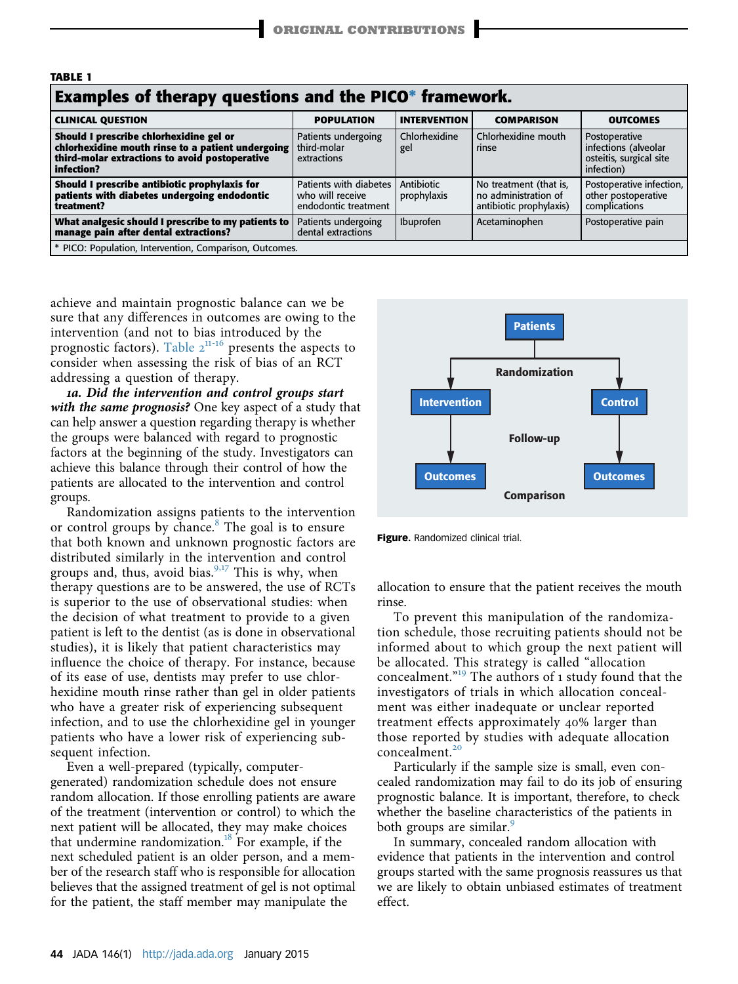| TABLE 1                                                                                                                                                      |                                                                    |                           |                                                                           |                                                                                |  |  |  |
|--------------------------------------------------------------------------------------------------------------------------------------------------------------|--------------------------------------------------------------------|---------------------------|---------------------------------------------------------------------------|--------------------------------------------------------------------------------|--|--|--|
| <b>Examples of therapy questions and the PICO* framework.</b>                                                                                                |                                                                    |                           |                                                                           |                                                                                |  |  |  |
| <b>CLINICAL QUESTION</b>                                                                                                                                     | <b>POPULATION</b>                                                  | <b>INTERVENTION</b>       | <b>COMPARISON</b>                                                         | <b>OUTCOMES</b>                                                                |  |  |  |
| Should I prescribe chlorhexidine gel or<br>chlorhexidine mouth rinse to a patient undergoing<br>third-molar extractions to avoid postoperative<br>infection? | Patients undergoing<br>third-molar<br>extractions                  | Chlorhexidine<br>gel      | Chlorhexidine mouth<br>rinse                                              | Postoperative<br>infections (alveolar<br>osteitis, surgical site<br>infection) |  |  |  |
| Should I prescribe antibiotic prophylaxis for<br>patients with diabetes undergoing endodontic<br>treatment?                                                  | Patients with diabetes<br>who will receive<br>endodontic treatment | Antibiotic<br>prophylaxis | No treatment (that is.<br>no administration of<br>antibiotic prophylaxis) | Postoperative infection,<br>other postoperative<br>complications               |  |  |  |
| What analgesic should I prescribe to my patients to<br>manage pain after dental extractions?                                                                 | Patients undergoing<br>dental extractions                          | Ibuprofen                 | Acetaminophen                                                             | Postoperative pain                                                             |  |  |  |
| * PICO: Population, Intervention, Comparison, Outcomes.                                                                                                      |                                                                    |                           |                                                                           |                                                                                |  |  |  |

achieve and maintain prognostic balance can we be sure that any differences in outcomes are owing to the intervention (and not to bias introduced by the prognostic factors). [Table](#page-3-0)  $2^{11-16}$  $2^{11-16}$  $2^{11-16}$  presents the aspects to consider when assessing the risk of bias of an RCT addressing a question of therapy.

<span id="page-2-0"></span> $-1 - 1$ 

1a. Did the intervention and control groups start with the same prognosis? One key aspect of a study that can help answer a question regarding therapy is whether the groups were balanced with regard to prognostic factors at the beginning of the study. Investigators can achieve this balance through their control of how the patients are allocated to the intervention and control groups.

Randomization assigns patients to the intervention or control groups by chance. $\delta$  The goal is to ensure that both known and unknown prognostic factors are distributed similarly in the intervention and control groups and, thus, avoid bias. $9,17$  $9,17$  This is why, when therapy questions are to be answered, the use of RCTs is superior to the use of observational studies: when the decision of what treatment to provide to a given patient is left to the dentist (as is done in observational studies), it is likely that patient characteristics may influence the choice of therapy. For instance, because of its ease of use, dentists may prefer to use chlorhexidine mouth rinse rather than gel in older patients who have a greater risk of experiencing subsequent infection, and to use the chlorhexidine gel in younger patients who have a lower risk of experiencing subsequent infection.

Even a well-prepared (typically, computergenerated) randomization schedule does not ensure random allocation. If those enrolling patients are aware of the treatment (intervention or control) to which the next patient will be allocated, they may make choices that undermine randomization.<sup>[18](#page-7-0)</sup> For example, if the next scheduled patient is an older person, and a member of the research staff who is responsible for allocation believes that the assigned treatment of gel is not optimal for the patient, the staff member may manipulate the



Figure. Randomized clinical trial.

allocation to ensure that the patient receives the mouth rinse.

To prevent this manipulation of the randomization schedule, those recruiting patients should not be informed about to which group the next patient will be allocated. This strategy is called "allocation concealment." [19](#page-7-0) The authors of 1 study found that the investigators of trials in which allocation concealment was either inadequate or unclear reported treatment effects approximately 40% larger than those reported by studies with adequate allocation concealment.<sup>[20](#page-7-0)</sup>

Particularly if the sample size is small, even concealed randomization may fail to do its job of ensuring prognostic balance. It is important, therefore, to check whether the baseline characteristics of the patients in both groups are similar.<sup>[9](#page-7-0)</sup>

In summary, concealed random allocation with evidence that patients in the intervention and control groups started with the same prognosis reassures us that we are likely to obtain unbiased estimates of treatment effect.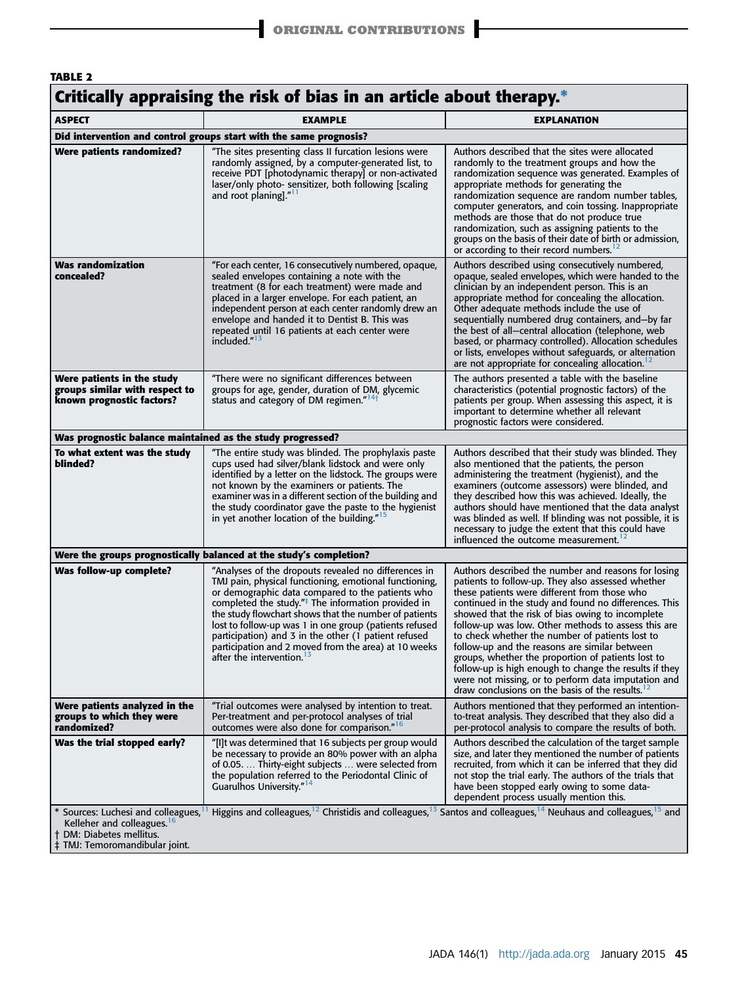#### <span id="page-3-0"></span>TABLE 2 Critically appraising the risk of bias in an article about therapy.\* ASPECT And the control of the control of the control of the control of the control of the control of the control of the control of the control of the control of the control of the control of the control of the control of t Did intervention and control groups start with the same prognosis? Were patients randomized? "The sites presenting class II furcation lesions were randomly assigned, by a computer-generated list, to receive PDT [photodynamic therapy] or non-activated laser/only photo- sensitizer, both following [scaling and root planing]."<sup>[11](#page-7-0)</sup> Authors described that the sites were allocated randomly to the treatment groups and how the randomization sequence was generated. Examples of appropriate methods for generating the randomization sequence are random number tables, computer generators, and coin tossing. Inappropriate methods are those that do not produce true randomization, such as assigning patients to the groups on the basis of their date of birth or admission, or according to their record numbers. Was randomization concealed? "For each center, 16 consecutively numbered, opaque, sealed envelopes containing a note with the treatment (8 for each treatment) were made and placed in a larger envelope. For each patient, an independent person at each center randomly drew an envelope and handed it to Dentist B. This was repeated until 16 patients at each center were<br>included "<sup>[13](#page-7-0)</sup> included." Authors described using consecutively numbered, opaque, sealed envelopes, which were handed to the clinician by an independent person. This is an appropriate method for concealing the allocation. Other adequate methods include the use of sequentially numbered drug containers, and—by far the best of all—central allocation (telephone, web based, or pharmacy controlled). Allocation schedules or lists, envelopes without safeguards, or alternation are not appropriate for concealing allocation.<sup>[12](#page-7-0)</sup> Were patients in the study groups similar with respect to known prognostic factors? "There were no significant differences between groups for age, gender, duration of DM, glycemic status and category of DM regimen."<sup>[14](#page-7-0)†</sup> The authors presented a table with the baseline characteristics (potential prognostic factors) of the patients per group. When assessing this aspect, it is important to determine whether all relevant prognostic factors were considered. Was prognostic balance maintained as the study progressed? To what extent was the study blinded? "The entire study was blinded. The prophylaxis paste cups used had silver/blank lidstock and were only identified by a letter on the lidstock. The groups were not known by the examiners or patients. The examiner was in a different section of the building and the study coordinator gave the paste to the hygienist in yet another location of the building." [15](#page-7-0) Authors described that their study was blinded. They also mentioned that the patients, the person administering the treatment (hygienist), and the examiners (outcome assessors) were blinded, and they described how this was achieved. Ideally, the authors should have mentioned that the data analyst was blinded as well. If blinding was not possible, it is necessary to judge the extent that this could have influenced the outcome measurement. Were the groups prognostically balanced at the study's completion? Was follow-up complete? | "Analyses of the dropouts revealed no differences in TMJ pain, physical functioning, emotional functioning, or demographic data compared to the patients who completed the study."‡ The information provided in the study flowchart shows that the number of patients lost to follow-up was 1 in one group (patients refused participation) and 3 in the other (1 patient refused participation and 2 moved from the area) at 10 weeks after the intervention.<sup>1</sup> Authors described the number and reasons for losing patients to follow-up. They also assessed whether these patients were different from those who continued in the study and found no differences. This showed that the risk of bias owing to incomplete follow-up was low. Other methods to assess this are to check whether the number of patients lost to follow-up and the reasons are similar between groups, whether the proportion of patients lost to follow-up is high enough to change the results if they were not missing, or to perform data imputation and draw conclusions on the basis of the results.<sup>[12](#page-7-0)</sup> Were patients analyzed in the groups to which they were randomized? "Trial outcomes were analysed by intention to treat. Per-treatment and per-protocol analyses of trial<br>outcomes were also done for comparison "[16](#page-7-0) outcomes were also done for comparison. Authors mentioned that they performed an intentionto-treat analysis. They described that they also did a per-protocol analysis to compare the results of both. Was the trial stopped early? | "[I]t was determined that 16 subjects per group would be necessary to provide an 80% power with an alpha of 0.05. ... Thirty-eight subjects ... were selected from the population referred to the Periodontal Clinic of<br>Guarulbos University "<sup>[14](#page-7-0)</sup> Guarulhos University." Authors described the calculation of the target sample size, and later they mentioned the number of patients recruited, from which it can be inferred that they did not stop the trial early. The authors of the trials that have been stopped early owing to some datadependent process usually mention this. Sources: Luchesi and colleagues,<sup>[11](#page-7-0)</sup> Higgins and colleagues,<sup>[12](#page-7-0)</sup> Christidis and colleagues,<sup>[13](#page-7-0)</sup> Santos and colleagues,<sup>[14](#page-7-0)</sup> Neuhaus and colleagues,<sup>[15](#page-7-0)</sup> and Kelleher and colleagues.<sup>1</sup> DM: Diabetes mellitus. TMJ: Temoromandibular joint.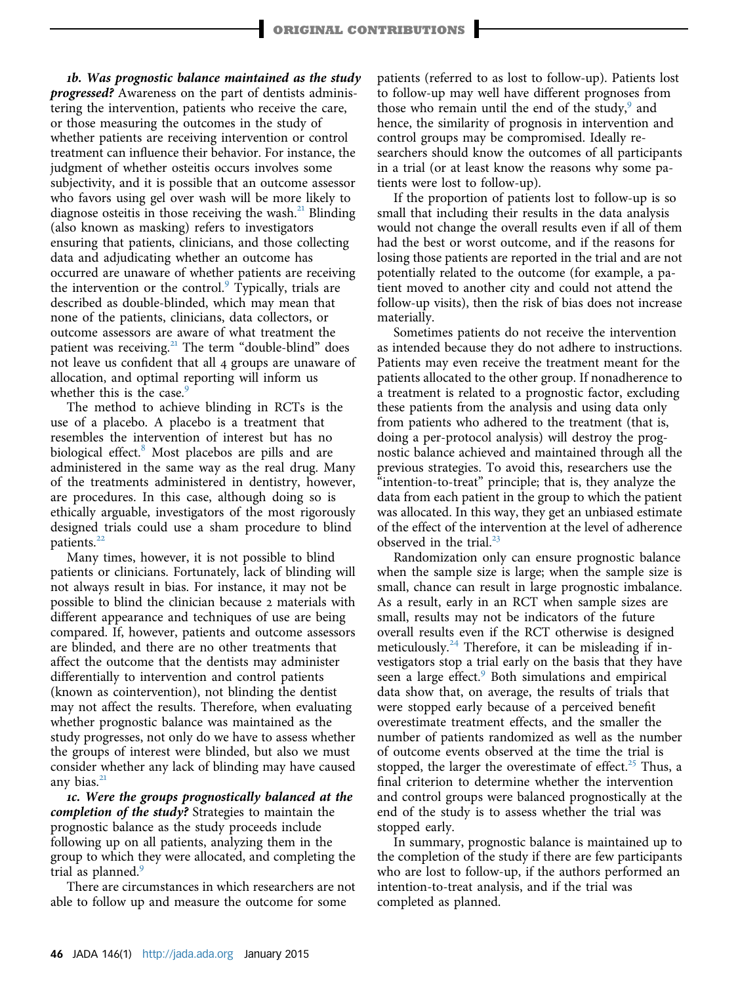1b. Was prognostic balance maintained as the study progressed? Awareness on the part of dentists administering the intervention, patients who receive the care, or those measuring the outcomes in the study of whether patients are receiving intervention or control treatment can influence their behavior. For instance, the judgment of whether osteitis occurs involves some subjectivity, and it is possible that an outcome assessor who favors using gel over wash will be more likely to diagnose osteitis in those receiving the wash. $^{21}$  $^{21}$  $^{21}$  Blinding (also known as masking) refers to investigators ensuring that patients, clinicians, and those collecting data and adjudicating whether an outcome has occurred are unaware of whether patients are receiving the intervention or the control.<sup>[9](#page-7-0)</sup> Typically, trials are described as double-blinded, which may mean that none of the patients, clinicians, data collectors, or outcome assessors are aware of what treatment the patient was receiving.<sup>[21](#page-7-0)</sup> The term "double-blind" does not leave us confident that all 4 groups are unaware of allocation, and optimal reporting will inform us whether this is the case.<sup>[9](#page-7-0)</sup>

The method to achieve blinding in RCTs is the use of a placebo. A placebo is a treatment that resembles the intervention of interest but has no biological effect. $8$  Most placebos are pills and are administered in the same way as the real drug. Many of the treatments administered in dentistry, however, are procedures. In this case, although doing so is ethically arguable, investigators of the most rigorously designed trials could use a sham procedure to blind patients.<sup>[22](#page-7-0)</sup>

Many times, however, it is not possible to blind patients or clinicians. Fortunately, lack of blinding will not always result in bias. For instance, it may not be possible to blind the clinician because 2 materials with different appearance and techniques of use are being compared. If, however, patients and outcome assessors are blinded, and there are no other treatments that affect the outcome that the dentists may administer differentially to intervention and control patients (known as cointervention), not blinding the dentist may not affect the results. Therefore, when evaluating whether prognostic balance was maintained as the study progresses, not only do we have to assess whether the groups of interest were blinded, but also we must consider whether any lack of blinding may have caused any bias.<sup>[21](#page-7-0)</sup>

1c. Were the groups prognostically balanced at the completion of the study? Strategies to maintain the prognostic balance as the study proceeds include following up on all patients, analyzing them in the group to which they were allocated, and completing the trial as planned.<sup>[9](#page-7-0)</sup>

There are circumstances in which researchers are not able to follow up and measure the outcome for some

patients (referred to as lost to follow-up). Patients lost to follow-up may well have different prognoses from those who remain until the end of the study, $9$  and hence, the similarity of prognosis in intervention and control groups may be compromised. Ideally researchers should know the outcomes of all participants in a trial (or at least know the reasons why some patients were lost to follow-up).

If the proportion of patients lost to follow-up is so small that including their results in the data analysis would not change the overall results even if all of them had the best or worst outcome, and if the reasons for losing those patients are reported in the trial and are not potentially related to the outcome (for example, a patient moved to another city and could not attend the follow-up visits), then the risk of bias does not increase materially.

Sometimes patients do not receive the intervention as intended because they do not adhere to instructions. Patients may even receive the treatment meant for the patients allocated to the other group. If nonadherence to a treatment is related to a prognostic factor, excluding these patients from the analysis and using data only from patients who adhered to the treatment (that is, doing a per-protocol analysis) will destroy the prognostic balance achieved and maintained through all the previous strategies. To avoid this, researchers use the "intention-to-treat" principle; that is, they analyze the data from each patient in the group to which the patient was allocated. In this way, they get an unbiased estimate of the effect of the intervention at the level of adherence observed in the trial. $^{23}$  $^{23}$  $^{23}$ 

Randomization only can ensure prognostic balance when the sample size is large; when the sample size is small, chance can result in large prognostic imbalance. As a result, early in an RCT when sample sizes are small, results may not be indicators of the future overall results even if the RCT otherwise is designed meticulously. $^{24}$  $^{24}$  $^{24}$  Therefore, it can be misleading if investigators stop a trial early on the basis that they have seen a large effect.<sup>[9](#page-7-0)</sup> Both simulations and empirical data show that, on average, the results of trials that were stopped early because of a perceived benefit overestimate treatment effects, and the smaller the number of patients randomized as well as the number of outcome events observed at the time the trial is stopped, the larger the overestimate of effect.<sup>[25](#page-7-0)</sup> Thus, a final criterion to determine whether the intervention and control groups were balanced prognostically at the end of the study is to assess whether the trial was stopped early.

In summary, prognostic balance is maintained up to the completion of the study if there are few participants who are lost to follow-up, if the authors performed an intention-to-treat analysis, and if the trial was completed as planned.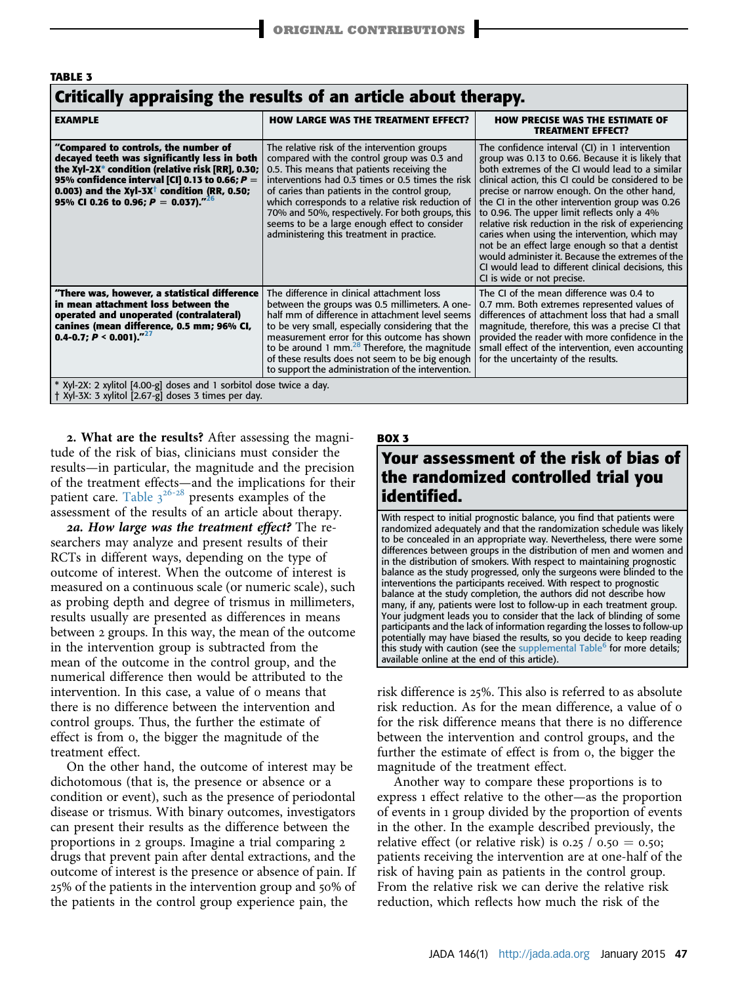| TABLE 3 |  |                                                                |  |  |
|---------|--|----------------------------------------------------------------|--|--|
|         |  | Critically appraising the results of an article about therapy. |  |  |

| <b>EXAMPLE</b>                                                                                                                                                                                                                                                                                        | <b>HOW LARGE WAS THE TREATMENT EFFECT?</b>                                                                                                                                                                                                                                                                                                                                                                                                              | <b>HOW PRECISE WAS THE ESTIMATE OF</b><br><b>TREATMENT EFFECT?</b>                                                                                                                                                                                                                                                                                                                                                                                                                                                                                                                                                                                                 |  |  |  |
|-------------------------------------------------------------------------------------------------------------------------------------------------------------------------------------------------------------------------------------------------------------------------------------------------------|---------------------------------------------------------------------------------------------------------------------------------------------------------------------------------------------------------------------------------------------------------------------------------------------------------------------------------------------------------------------------------------------------------------------------------------------------------|--------------------------------------------------------------------------------------------------------------------------------------------------------------------------------------------------------------------------------------------------------------------------------------------------------------------------------------------------------------------------------------------------------------------------------------------------------------------------------------------------------------------------------------------------------------------------------------------------------------------------------------------------------------------|--|--|--|
| "Compared to controls, the number of<br>decayed teeth was significantly less in both<br>the Xyl-2X* condition (relative risk [RR], 0.30;<br>95% confidence interval [CI] 0.13 to 0.66; $P =$<br>0.003) and the Xyl-3X <sup>†</sup> condition (RR, 0.50;<br>95% CI 0.26 to 0.96; $P = 0.037$ . $^{26}$ | The relative risk of the intervention groups<br>compared with the control group was 0.3 and<br>0.5. This means that patients receiving the<br>interventions had 0.3 times or 0.5 times the risk<br>of caries than patients in the control group,<br>which corresponds to a relative risk reduction of<br>70% and 50%, respectively. For both groups, this<br>seems to be a large enough effect to consider<br>administering this treatment in practice. | The confidence interval (CI) in 1 intervention<br>group was 0.13 to 0.66. Because it is likely that<br>both extremes of the CI would lead to a similar<br>clinical action, this CI could be considered to be<br>precise or narrow enough. On the other hand,<br>the CI in the other intervention group was 0.26<br>to 0.96. The upper limit reflects only a 4%<br>relative risk reduction in the risk of experiencing<br>caries when using the intervention, which may<br>not be an effect large enough so that a dentist<br>would administer it. Because the extremes of the<br>CI would lead to different clinical decisions, this<br>CI is wide or not precise. |  |  |  |
| "There was, however, a statistical difference<br>in mean attachment loss between the<br>operated and unoperated (contralateral)<br>canines (mean difference, 0.5 mm; 96% CI,<br>0.4-0.7; $P < 0.001$ ." <sup>27</sup>                                                                                 | The difference in clinical attachment loss<br>between the groups was 0.5 millimeters. A one-<br>half mm of difference in attachment level seems<br>to be very small, especially considering that the<br>measurement error for this outcome has shown<br>to be around 1 mm. $^{28}$ Therefore, the magnitude<br>of these results does not seem to be big enough<br>to support the administration of the intervention.                                    | The CI of the mean difference was 0.4 to<br>0.7 mm. Both extremes represented values of<br>differences of attachment loss that had a small<br>magnitude, therefore, this was a precise CI that<br>provided the reader with more confidence in the<br>small effect of the intervention, even accounting<br>for the uncertainty of the results.                                                                                                                                                                                                                                                                                                                      |  |  |  |
| * Xyl-2X: 2 xylitol [4.00-g] doses and 1 sorbitol dose twice a day.<br>† Xyl-3X: 3 xylitol [2.67-g] doses 3 times per day.                                                                                                                                                                            |                                                                                                                                                                                                                                                                                                                                                                                                                                                         |                                                                                                                                                                                                                                                                                                                                                                                                                                                                                                                                                                                                                                                                    |  |  |  |

2. What are the results? After assessing the magnitude of the risk of bias, clinicians must consider the results—in particular, the magnitude and the precision of the treatment effects—and the implications for their patient care. Table  $3^{26-28}$  $3^{26-28}$  $3^{26-28}$  presents examples of the assessment of the results of an article about therapy.

2a. How large was the treatment effect? The researchers may analyze and present results of their RCTs in different ways, depending on the type of outcome of interest. When the outcome of interest is measured on a continuous scale (or numeric scale), such as probing depth and degree of trismus in millimeters, results usually are presented as differences in means between 2 groups. In this way, the mean of the outcome in the intervention group is subtracted from the mean of the outcome in the control group, and the numerical difference then would be attributed to the intervention. In this case, a value of 0 means that there is no difference between the intervention and control groups. Thus, the further the estimate of effect is from 0, the bigger the magnitude of the treatment effect.

On the other hand, the outcome of interest may be dichotomous (that is, the presence or absence or a condition or event), such as the presence of periodontal disease or trismus. With binary outcomes, investigators can present their results as the difference between the proportions in 2 groups. Imagine a trial comparing 2 drugs that prevent pain after dental extractions, and the outcome of interest is the presence or absence of pain. If 25% of the patients in the intervention group and 50% of the patients in the control group experience pain, the

#### BOX 3

## Your assessment of the risk of bias of the randomized controlled trial you identified.

With respect to initial prognostic balance, you find that patients were randomized adequately and that the randomization schedule was likely to be concealed in an appropriate way. Nevertheless, there were some differences between groups in the distribution of men and women and in the distribution of smokers. With respect to maintaining prognostic balance as the study progressed, only the surgeons were blinded to the interventions the participants received. With respect to prognostic balance at the study completion, the authors did not describe how many, if any, patients were lost to follow-up in each treatment group. Your judgment leads you to consider that the lack of blinding of some participants and the lack of information regarding the losses to follow-up potentially may have biased the results, so you decide to keep reading this study with caution (see the supplemental Table $<sup>6</sup>$  $<sup>6</sup>$  $<sup>6</sup>$  for more details;</sup> available online at the end of this article).

risk difference is 25%. This also is referred to as absolute risk reduction. As for the mean difference, a value of 0 for the risk difference means that there is no difference between the intervention and control groups, and the further the estimate of effect is from 0, the bigger the magnitude of the treatment effect.

Another way to compare these proportions is to express 1 effect relative to the other—as the proportion of events in 1 group divided by the proportion of events in the other. In the example described previously, the relative effect (or relative risk) is 0.25 / 0.50  $=$  0.50; patients receiving the intervention are at one-half of the risk of having pain as patients in the control group. From the relative risk we can derive the relative risk reduction, which reflects how much the risk of the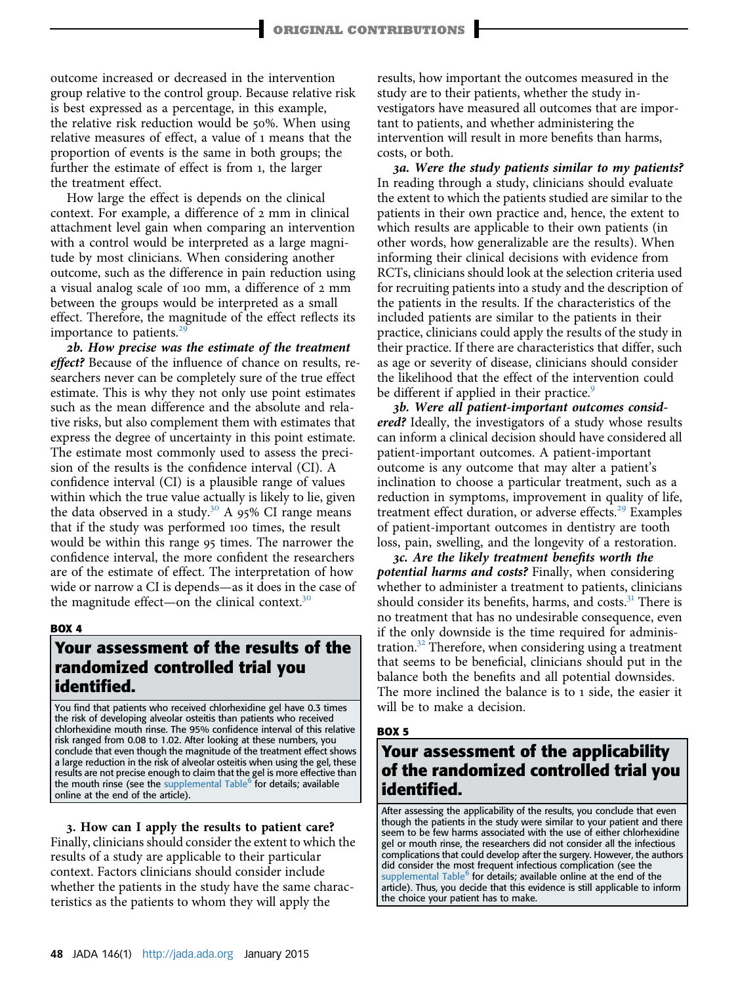outcome increased or decreased in the intervention group relative to the control group. Because relative risk is best expressed as a percentage, in this example, the relative risk reduction would be 50%. When using relative measures of effect, a value of 1 means that the proportion of events is the same in both groups; the further the estimate of effect is from 1, the larger the treatment effect.

How large the effect is depends on the clinical context. For example, a difference of 2 mm in clinical attachment level gain when comparing an intervention with a control would be interpreted as a large magnitude by most clinicians. When considering another outcome, such as the difference in pain reduction using a visual analog scale of 100 mm, a difference of 2 mm between the groups would be interpreted as a small effect. Therefore, the magnitude of the effect reflects its importance to patients. $^{29}$  $^{29}$  $^{29}$ 

2b. How precise was the estimate of the treatment effect? Because of the influence of chance on results, researchers never can be completely sure of the true effect estimate. This is why they not only use point estimates such as the mean difference and the absolute and relative risks, but also complement them with estimates that express the degree of uncertainty in this point estimate. The estimate most commonly used to assess the precision of the results is the confidence interval (CI). A confidence interval (CI) is a plausible range of values within which the true value actually is likely to lie, given the data observed in a study.<sup>[30](#page-7-0)</sup> A 95% CI range means that if the study was performed 100 times, the result would be within this range 95 times. The narrower the confidence interval, the more confident the researchers are of the estimate of effect. The interpretation of how wide or narrow a CI is depends—as it does in the case of the magnitude effect—on the clinical context. $30$ 

#### BOX 4

## Your assessment of the results of the randomized controlled trial you identified.

You find that patients who received chlorhexidine gel have 0.3 times the risk of developing alveolar osteitis than patients who received chlorhexidine mouth rinse. The 95% confidence interval of this relative risk ranged from 0.08 to 1.02. After looking at these numbers, you conclude that even though the magnitude of the treatment effect shows a large reduction in the risk of alveolar osteitis when using the gel, these results are not precise enough to claim that the gel is more effective than the mouth rinse (see the supplemental Table $<sup>6</sup>$  $<sup>6</sup>$  $<sup>6</sup>$  for details; available</sup> online at the end of the article).

## 3. How can I apply the results to patient care? Finally, clinicians should consider the extent to which the

results of a study are applicable to their particular context. Factors clinicians should consider include whether the patients in the study have the same characteristics as the patients to whom they will apply the

results, how important the outcomes measured in the study are to their patients, whether the study investigators have measured all outcomes that are important to patients, and whether administering the intervention will result in more benefits than harms, costs, or both.

3a. Were the study patients similar to my patients? In reading through a study, clinicians should evaluate the extent to which the patients studied are similar to the patients in their own practice and, hence, the extent to which results are applicable to their own patients (in other words, how generalizable are the results). When informing their clinical decisions with evidence from RCTs, clinicians should look at the selection criteria used for recruiting patients into a study and the description of the patients in the results. If the characteristics of the included patients are similar to the patients in their practice, clinicians could apply the results of the study in their practice. If there are characteristics that differ, such as age or severity of disease, clinicians should consider the likelihood that the effect of the intervention could be different if applied in their practice.<sup>[9](#page-7-0)</sup>

3b. Were all patient-important outcomes considered? Ideally, the investigators of a study whose results can inform a clinical decision should have considered all patient-important outcomes. A patient-important outcome is any outcome that may alter a patient's inclination to choose a particular treatment, such as a reduction in symptoms, improvement in quality of life, treatment effect duration, or adverse effects.<sup>[29](#page-7-0)</sup> Examples of patient-important outcomes in dentistry are tooth loss, pain, swelling, and the longevity of a restoration.

3c. Are the likely treatment benefits worth the potential harms and costs? Finally, when considering whether to administer a treatment to patients, clinicians should consider its benefits, harms, and costs.<sup>[31](#page-7-0)</sup> There is no treatment that has no undesirable consequence, even if the only downside is the time required for administration. $32$  Therefore, when considering using a treatment that seems to be beneficial, clinicians should put in the balance both the benefits and all potential downsides. The more inclined the balance is to 1 side, the easier it will be to make a decision.

#### BOX 5

## Your assessment of the applicability of the randomized controlled trial you identified.

After assessing the applicability of the results, you conclude that even though the patients in the study were similar to your patient and there seem to be few harms associated with the use of either chlorhexidine gel or mouth rinse, the researchers did not consider all the infectious complications that could develop after the surgery. However, the authors did consider the most frequent infectious complication (see the supplemental Table<sup>[6](#page-7-0)</sup> for details; available online at the end of the article). Thus, you decide that this evidence is still applicable to inform the choice your patient has to make.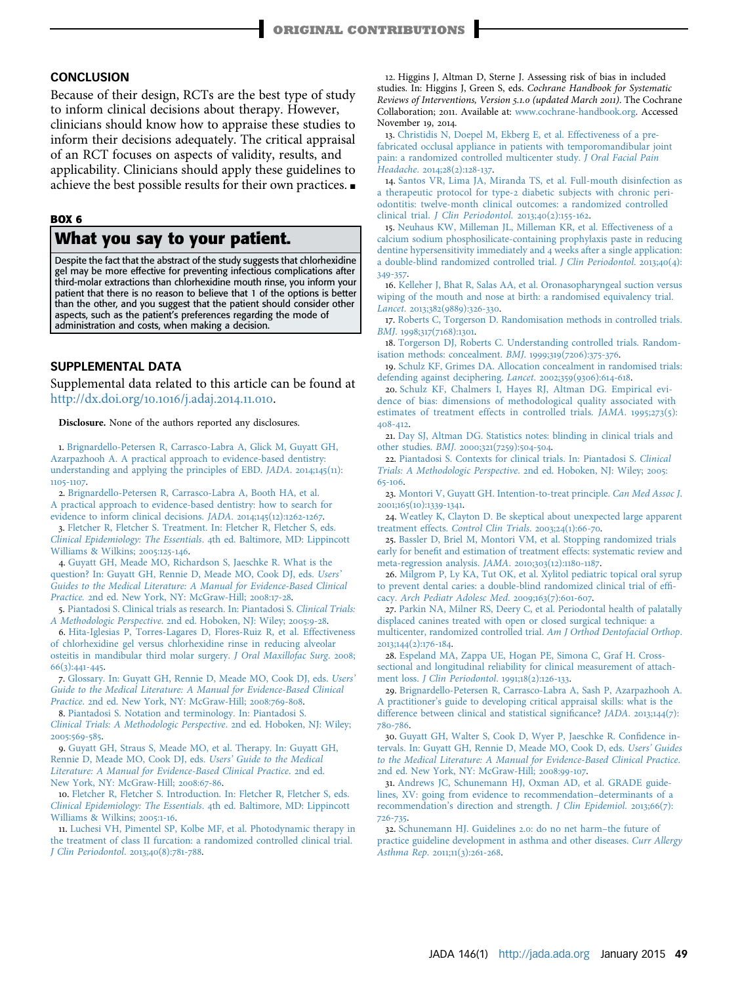#### <span id="page-7-0"></span>**CONCLUSION**

Because of their design, RCTs are the best type of study to inform clinical decisions about therapy. However, clinicians should know how to appraise these studies to inform their decisions adequately. The critical appraisal of an RCT focuses on aspects of validity, results, and applicability. Clinicians should apply these guidelines to achieve the best possible results for their own practices.  $\blacksquare$ 

#### BOX 6

#### What you say to your patient.

Despite the fact that the abstract of the study suggests that chlorhexidine gel may be more effective for preventing infectious complications after third-molar extractions than chlorhexidine mouth rinse, you inform your patient that there is no reason to believe that 1 of the options is better than the other, and you suggest that the patient should consider other aspects, such as the patient's preferences regarding the mode of administration and costs, when making a decision.

#### SUPPLEMENTAL DATA

Supplemental data related to this article can be found at [http://dx.doi.org/](http://dx.doi.org/10.1016/j.adaj.2014.11.010)10.1016/j.adaj.2014.11.010.

Disclosure. None of the authors reported any disclosures.

1. [Brignardello-Petersen R, Carrasco-Labra A, Glick M, Guyatt GH,](http://refhub.elsevier.com/S0002-8177(14)00017-8/sref1) [Azarpazhooh A. A practical approach to evidence-based dentistry:](http://refhub.elsevier.com/S0002-8177(14)00017-8/sref1) [understanding and applying the principles of EBD.](http://refhub.elsevier.com/S0002-8177(14)00017-8/sref1) JADA. 2014;145(11): 1105-[1107](http://refhub.elsevier.com/S0002-8177(14)00017-8/sref1).

2. [Brignardello-Petersen R, Carrasco-Labra A, Booth HA, et al.](http://refhub.elsevier.com/S0002-8177(14)00017-8/sref2) [A practical approach to evidence-based dentistry: how to search for](http://refhub.elsevier.com/S0002-8177(14)00017-8/sref2) [evidence to inform clinical decisions.](http://refhub.elsevier.com/S0002-8177(14)00017-8/sref2) JADA. 2014;145(12):1262-1267.

3. [Fletcher R, Fletcher S. Treatment. In: Fletcher R, Fletcher S, eds.](http://refhub.elsevier.com/S0002-8177(14)00017-8/sref3) [Clinical Epidemiology: The Essentials](http://refhub.elsevier.com/S0002-8177(14)00017-8/sref3). 4th ed. Baltimore, MD: Lippincott [Williams & Wilkins;](http://refhub.elsevier.com/S0002-8177(14)00017-8/sref3) 2005:125-146.

4. [Guyatt GH, Meade MO, Richardson S, Jaeschke R. What is the](http://refhub.elsevier.com/S0002-8177(14)00017-8/sref4) [question? In: Guyatt GH, Rennie D, Meade MO, Cook DJ, eds.](http://refhub.elsevier.com/S0002-8177(14)00017-8/sref4) Users' [Guides to the Medical Literature: A Manual for Evidence-Based Clinical](http://refhub.elsevier.com/S0002-8177(14)00017-8/sref4) Practice. 2[nd ed. New York, NY: McGraw-Hill;](http://refhub.elsevier.com/S0002-8177(14)00017-8/sref4) 2008:17-28.

5. [Piantadosi S. Clinical trials as research. In: Piantadosi S.](http://refhub.elsevier.com/S0002-8177(14)00017-8/sref5) Clinical Trials: A Methodologic Perspective. 2[nd ed. Hoboken, NJ: Wiley;](http://refhub.elsevier.com/S0002-8177(14)00017-8/sref5) 2005:9-28.

6. [Hita-Iglesias P, Torres-Lagares D, Flores-Ruiz R, et al. Effectiveness](http://refhub.elsevier.com/S0002-8177(14)00017-8/sref6) [of chlorhexidine gel versus chlorhexidine rinse in reducing alveolar](http://refhub.elsevier.com/S0002-8177(14)00017-8/sref6) [osteitis in mandibular third molar surgery.](http://refhub.elsevier.com/S0002-8177(14)00017-8/sref6) J Oral Maxillofac Surg. 2008; 66(3):441-[445](http://refhub.elsevier.com/S0002-8177(14)00017-8/sref6).

7. [Glossary. In: Guyatt GH, Rennie D, Meade MO, Cook DJ, eds.](http://refhub.elsevier.com/S0002-8177(14)00017-8/sref7) Users' [Guide to the Medical Literature: A Manual for Evidence-Based Clinical](http://refhub.elsevier.com/S0002-8177(14)00017-8/sref7) Practice. 2[nd ed. New York, NY: McGraw-Hill;](http://refhub.elsevier.com/S0002-8177(14)00017-8/sref7) 2008:769-808.

8. [Piantadosi S. Notation and terminology. In: Piantadosi S.](http://refhub.elsevier.com/S0002-8177(14)00017-8/sref8) [Clinical Trials: A Methodologic Perspective](http://refhub.elsevier.com/S0002-8177(14)00017-8/sref8). 2nd ed. Hoboken, NJ: Wiley;

[2005](http://refhub.elsevier.com/S0002-8177(14)00017-8/sref8):569-585.

9. [Guyatt GH, Straus S, Meade MO, et al. Therapy. In: Guyatt GH,](http://refhub.elsevier.com/S0002-8177(14)00017-8/sref9) [Rennie D, Meade MO, Cook DJ, eds.](http://refhub.elsevier.com/S0002-8177(14)00017-8/sref9) Users' Guide to the Medical [Literature: A Manual for Evidence-Based Clinical Practice](http://refhub.elsevier.com/S0002-8177(14)00017-8/sref9). 2nd ed. [New York, NY: McGraw-Hill;](http://refhub.elsevier.com/S0002-8177(14)00017-8/sref9) 2008:67-86.

10. [Fletcher R, Fletcher S. Introduction. In: Fletcher R, Fletcher S, eds.](http://refhub.elsevier.com/S0002-8177(14)00017-8/sref10) [Clinical Epidemiology: The Essentials](http://refhub.elsevier.com/S0002-8177(14)00017-8/sref10). 4th ed. Baltimore, MD: Lippincott [Williams & Wilkins;](http://refhub.elsevier.com/S0002-8177(14)00017-8/sref10) 2005:1-16.

11. [Luchesi VH, Pimentel SP, Kolbe MF, et al. Photodynamic therapy in](http://refhub.elsevier.com/S0002-8177(14)00017-8/sref11) [the treatment of class II furcation: a randomized controlled clinical trial.](http://refhub.elsevier.com/S0002-8177(14)00017-8/sref11) [J Clin Periodontol](http://refhub.elsevier.com/S0002-8177(14)00017-8/sref11). 2013;40(8):781-788.

12. Higgins J, Altman D, Sterne J. Assessing risk of bias in included studies. In: Higgins J, Green S, eds. Cochrane Handbook for Systematic Reviews of Interventions, Version 5.1.0 (updated March 2011). The Cochrane Collaboration; 2011. Available at: [www.cochrane-handbook.org](http://www.cochrane-handbook.org). Accessed November 19, 2014.

13. [Christidis N, Doepel M, Ekberg E, et al. Effectiveness of a pre](http://refhub.elsevier.com/S0002-8177(14)00017-8/sref13)[fabricated occlusal appliance in patients with temporomandibular joint](http://refhub.elsevier.com/S0002-8177(14)00017-8/sref13) [pain: a randomized controlled multicenter study.](http://refhub.elsevier.com/S0002-8177(14)00017-8/sref13) J Oral Facial Pain [Headache](http://refhub.elsevier.com/S0002-8177(14)00017-8/sref13). 2014;28(2):128-137.

14. [Santos VR, Lima JA, Miranda TS, et al. Full-mouth disinfection as](http://refhub.elsevier.com/S0002-8177(14)00017-8/sref14) a therapeutic protocol for type-2 [diabetic subjects with chronic peri](http://refhub.elsevier.com/S0002-8177(14)00017-8/sref14)[odontitis: twelve-month clinical outcomes: a randomized controlled](http://refhub.elsevier.com/S0002-8177(14)00017-8/sref14) clinical trial. [J Clin Periodontol](http://refhub.elsevier.com/S0002-8177(14)00017-8/sref14). 2013;40(2):155-162.

15. [Neuhaus KW, Milleman JL, Milleman KR, et al. Effectiveness of a](http://refhub.elsevier.com/S0002-8177(14)00017-8/sref15) [calcium sodium phosphosilicate-containing prophylaxis paste in reducing](http://refhub.elsevier.com/S0002-8177(14)00017-8/sref15) [dentine hypersensitivity immediately and](http://refhub.elsevier.com/S0002-8177(14)00017-8/sref15) 4 weeks after a single application: [a double-blind randomized controlled trial.](http://refhub.elsevier.com/S0002-8177(14)00017-8/sref15) J Clin Periodontol. 2013;40(4): [349](http://refhub.elsevier.com/S0002-8177(14)00017-8/sref15)-357.

16. [Kelleher J, Bhat R, Salas AA, et al. Oronasopharyngeal suction versus](http://refhub.elsevier.com/S0002-8177(14)00017-8/sref16) [wiping of the mouth and nose at birth: a randomised equivalency trial.](http://refhub.elsevier.com/S0002-8177(14)00017-8/sref16) [Lancet](http://refhub.elsevier.com/S0002-8177(14)00017-8/sref16). 2013;382(9889):326-330.

17. [Roberts C, Torgerson D. Randomisation methods in controlled trials.](http://refhub.elsevier.com/S0002-8177(14)00017-8/sref17) [BMJ](http://refhub.elsevier.com/S0002-8177(14)00017-8/sref17). 1998;317(7168):1301.

18. [Torgerson DJ, Roberts C. Understanding controlled trials. Random](http://refhub.elsevier.com/S0002-8177(14)00017-8/sref18)[isation methods: concealment.](http://refhub.elsevier.com/S0002-8177(14)00017-8/sref18) BMJ. 1999;319(7206):375-376.

19. [Schulz KF, Grimes DA. Allocation concealment in randomised trials:](http://refhub.elsevier.com/S0002-8177(14)00017-8/sref19) [defending against deciphering.](http://refhub.elsevier.com/S0002-8177(14)00017-8/sref19) Lancet. 2002;359(9306):614-618.

20. [Schulz KF, Chalmers I, Hayes RJ, Altman DG. Empirical evi](http://refhub.elsevier.com/S0002-8177(14)00017-8/sref20)[dence of bias: dimensions of methodological quality associated with](http://refhub.elsevier.com/S0002-8177(14)00017-8/sref20) [estimates of treatment effects in controlled trials.](http://refhub.elsevier.com/S0002-8177(14)00017-8/sref20) JAMA. 1995;273(5): [408](http://refhub.elsevier.com/S0002-8177(14)00017-8/sref20)-412.

21. [Day SJ, Altman DG. Statistics notes: blinding in clinical trials and](http://refhub.elsevier.com/S0002-8177(14)00017-8/sref21) [other studies.](http://refhub.elsevier.com/S0002-8177(14)00017-8/sref21) BMJ. 2000;321(7259):504-504.

22. [Piantadosi S. Contexts for clinical trials. In: Piantadosi S.](http://refhub.elsevier.com/S0002-8177(14)00017-8/sref22) Clinical [Trials: A Methodologic Perspective](http://refhub.elsevier.com/S0002-8177(14)00017-8/sref22). 2nd ed. Hoboken, NJ: Wiley; 2005: 65-[106](http://refhub.elsevier.com/S0002-8177(14)00017-8/sref22).

23. [Montori V, Guyatt GH. Intention-to-treat principle.](http://refhub.elsevier.com/S0002-8177(14)00017-8/sref23) Can Med Assoc J. [2001](http://refhub.elsevier.com/S0002-8177(14)00017-8/sref23);165(10):1339-1341.

24. [Weatley K, Clayton D. Be skeptical about unexpected large apparent](http://refhub.elsevier.com/S0002-8177(14)00017-8/sref24) treatment effects. [Control Clin Trials](http://refhub.elsevier.com/S0002-8177(14)00017-8/sref24). 2003;24(1):66-70.

25. [Bassler D, Briel M, Montori VM, et al. Stopping randomized trials](http://refhub.elsevier.com/S0002-8177(14)00017-8/sref25) early for benefi[t and estimation of treatment effects: systematic review and](http://refhub.elsevier.com/S0002-8177(14)00017-8/sref25) [meta-regression analysis.](http://refhub.elsevier.com/S0002-8177(14)00017-8/sref25) JAMA. 2010;303(12):1180-1187.

26. [Milgrom P, Ly KA, Tut OK, et al. Xylitol pediatric topical oral syrup](http://refhub.elsevier.com/S0002-8177(14)00017-8/sref26) [to prevent dental caries: a double-blind randomized clinical trial of ef](http://refhub.elsevier.com/S0002-8177(14)00017-8/sref26)ficacy. [Arch Pediatr Adolesc Med](http://refhub.elsevier.com/S0002-8177(14)00017-8/sref26). 2009;163(7):601-607.

27. [Parkin NA, Milner RS, Deery C, et al. Periodontal health of palatally](http://refhub.elsevier.com/S0002-8177(14)00017-8/sref27) [displaced canines treated with open or closed surgical technique: a](http://refhub.elsevier.com/S0002-8177(14)00017-8/sref27) [multicenter, randomized controlled trial.](http://refhub.elsevier.com/S0002-8177(14)00017-8/sref27) Am J Orthod Dentofacial Orthop. [2013](http://refhub.elsevier.com/S0002-8177(14)00017-8/sref27);144(2):176-184.

28. [Espeland MA, Zappa UE, Hogan PE, Simona C, Graf H. Cross](http://refhub.elsevier.com/S0002-8177(14)00017-8/sref28)[sectional and longitudinal reliability for clinical measurement of attach](http://refhub.elsevier.com/S0002-8177(14)00017-8/sref28)ment loss. [J Clin Periodontol](http://refhub.elsevier.com/S0002-8177(14)00017-8/sref28). 1991;18(2):126-133.

29. [Brignardello-Petersen R, Carrasco-Labra A, Sash P, Azarpazhooh A.](http://refhub.elsevier.com/S0002-8177(14)00017-8/sref29) A practitioner'[s guide to developing critical appraisal skills: what is the](http://refhub.elsevier.com/S0002-8177(14)00017-8/sref29) [difference between clinical and statistical signi](http://refhub.elsevier.com/S0002-8177(14)00017-8/sref29)ficance? JADA. 2013;144(7): [780](http://refhub.elsevier.com/S0002-8177(14)00017-8/sref29)-786.

30. [Guyatt GH, Walter S, Cook D, Wyer P, Jaeschke R. Con](http://refhub.elsevier.com/S0002-8177(14)00017-8/sref30)fidence in[tervals. In: Guyatt GH, Rennie D, Meade MO, Cook D, eds.](http://refhub.elsevier.com/S0002-8177(14)00017-8/sref30) Users' Guides [to the Medical Literature: A Manual for Evidence-Based Clinical Practice](http://refhub.elsevier.com/S0002-8177(14)00017-8/sref30). 2[nd ed. New York, NY: McGraw-Hill;](http://refhub.elsevier.com/S0002-8177(14)00017-8/sref30) 2008:99-107.

31. [Andrews JC, Schunemann HJ, Oxman AD, et al. GRADE guide](http://refhub.elsevier.com/S0002-8177(14)00017-8/sref31)[lines, XV: going from evidence to recommendation](http://refhub.elsevier.com/S0002-8177(14)00017-8/sref31)–determinants of a recommendation'[s direction and strength.](http://refhub.elsevier.com/S0002-8177(14)00017-8/sref31) J Clin Epidemiol. 2013;66(7): [726](http://refhub.elsevier.com/S0002-8177(14)00017-8/sref31)-735.

32. [Schunemann HJ. Guidelines](http://refhub.elsevier.com/S0002-8177(14)00017-8/sref32) 2.0: do no net harm–the future of [practice guideline development in asthma and other diseases.](http://refhub.elsevier.com/S0002-8177(14)00017-8/sref32) Curr Allergy [Asthma Rep](http://refhub.elsevier.com/S0002-8177(14)00017-8/sref32). 2011;11(3):261-268.